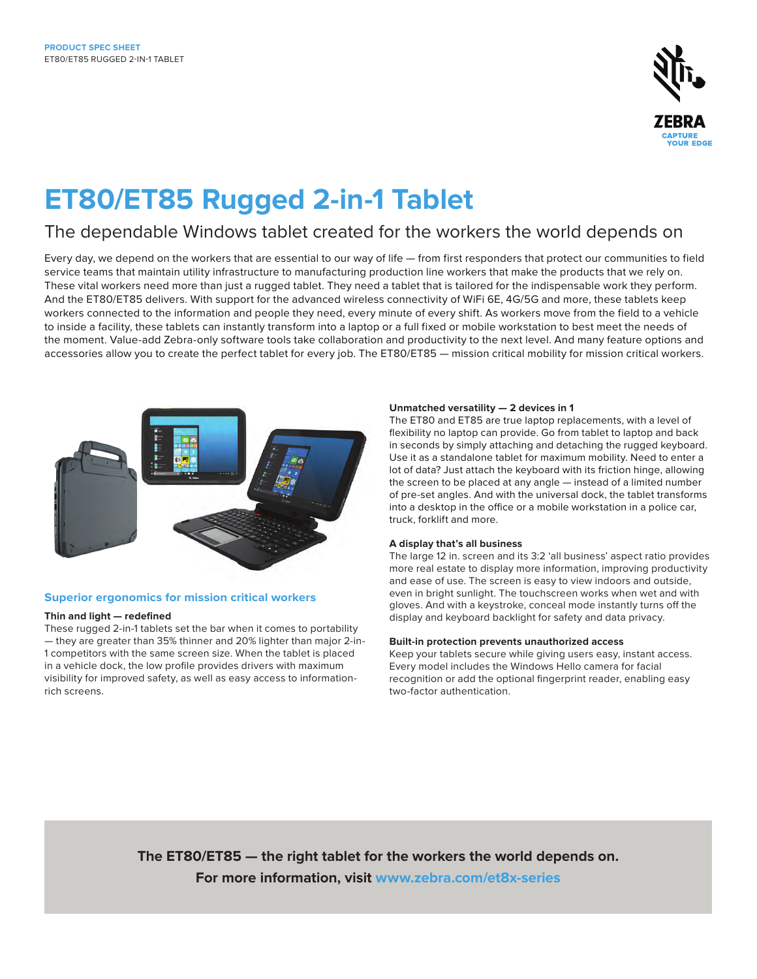

# **ET80/ET85 Rugged 2-in-1 Tablet**

### The dependable Windows tablet created for the workers the world depends on

Every day, we depend on the workers that are essential to our way of life — from first responders that protect our communities to field service teams that maintain utility infrastructure to manufacturing production line workers that make the products that we rely on. These vital workers need more than just a rugged tablet. They need a tablet that is tailored for the indispensable work they perform. And the ET80/ET85 delivers. With support for the advanced wireless connectivity of WiFi 6E, 4G/5G and more, these tablets keep workers connected to the information and people they need, every minute of every shift. As workers move from the field to a vehicle to inside a facility, these tablets can instantly transform into a laptop or a full fixed or mobile workstation to best meet the needs of the moment. Value-add Zebra-only software tools take collaboration and productivity to the next level. And many feature options and accessories allow you to create the perfect tablet for every job. The ET80/ET85 — mission critical mobility for mission critical workers.



#### **Superior ergonomics for mission critical workers**

#### **Thin and light — redefined**

These rugged 2-in-1 tablets set the bar when it comes to portability — they are greater than 35% thinner and 20% lighter than major 2-in-1 competitors with the same screen size. When the tablet is placed in a vehicle dock, the low profile provides drivers with maximum visibility for improved safety, as well as easy access to informationrich screens.

#### **Unmatched versatility — 2 devices in 1**

The ET80 and ET85 are true laptop replacements, with a level of flexibility no laptop can provide. Go from tablet to laptop and back in seconds by simply attaching and detaching the rugged keyboard. Use it as a standalone tablet for maximum mobility. Need to enter a lot of data? Just attach the keyboard with its friction hinge, allowing the screen to be placed at any angle — instead of a limited number of pre-set angles. And with the universal dock, the tablet transforms into a desktop in the office or a mobile workstation in a police car, truck, forklift and more.

#### **A display that's all business**

The large 12 in. screen and its 3:2 'all business' aspect ratio provides more real estate to display more information, improving productivity and ease of use. The screen is easy to view indoors and outside, even in bright sunlight. The touchscreen works when wet and with gloves. And with a keystroke, conceal mode instantly turns off the display and keyboard backlight for safety and data privacy.

#### **Built-in protection prevents unauthorized access**

Keep your tablets secure while giving users easy, instant access. Every model includes the Windows Hello camera for facial recognition or add the optional fingerprint reader, enabling easy two-factor authentication.

**The ET80/ET85 — the right tablet for the workers the world depends on. For more information, visit [www.zebra.com/](http://www.zebra.com/et8x-series)et8x-series**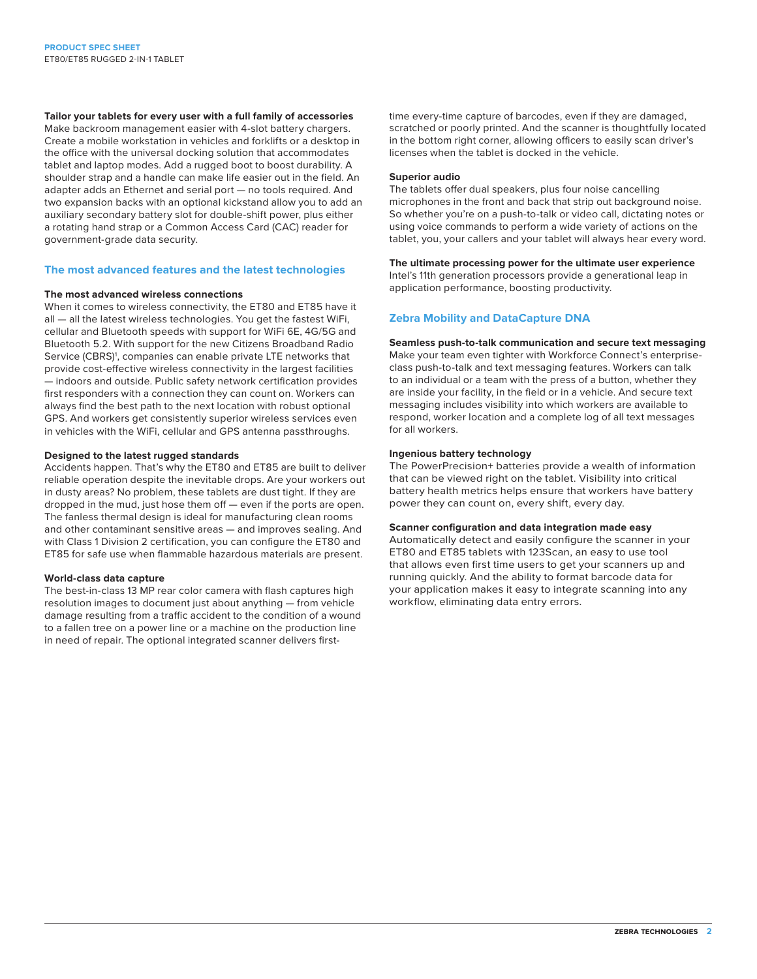#### **Tailor your tablets for every user with a full family of accessories**

Make backroom management easier with 4-slot battery chargers. Create a mobile workstation in vehicles and forklifts or a desktop in the office with the universal docking solution that accommodates tablet and laptop modes. Add a rugged boot to boost durability. A shoulder strap and a handle can make life easier out in the field. An adapter adds an Ethernet and serial port — no tools required. And two expansion backs with an optional kickstand allow you to add an auxiliary secondary battery slot for double-shift power, plus either a rotating hand strap or a Common Access Card (CAC) reader for government-grade data security.

#### **The most advanced features and the latest technologies**

#### **The most advanced wireless connections**

When it comes to wireless connectivity, the ET80 and ET85 have it all — all the latest wireless technologies. You get the fastest WiFi, cellular and Bluetooth speeds with support for WiFi 6E, 4G/5G and Bluetooth 5.2. With support for the new Citizens Broadband Radio Service (CBRS)<sup>1</sup>, companies can enable private LTE networks that provide cost-effective wireless connectivity in the largest facilities — indoors and outside. Public safety network certification provides first responders with a connection they can count on. Workers can always find the best path to the next location with robust optional GPS. And workers get consistently superior wireless services even in vehicles with the WiFi, cellular and GPS antenna passthroughs.

#### **Designed to the latest rugged standards**

Accidents happen. That's why the ET80 and ET85 are built to deliver reliable operation despite the inevitable drops. Are your workers out in dusty areas? No problem, these tablets are dust tight. If they are dropped in the mud, just hose them off — even if the ports are open. The fanless thermal design is ideal for manufacturing clean rooms and other contaminant sensitive areas — and improves sealing. And with Class 1 Division 2 certification, you can configure the ET80 and ET85 for safe use when flammable hazardous materials are present.

#### **World-class data capture**

The best-in-class 13 MP rear color camera with flash captures high resolution images to document just about anything — from vehicle damage resulting from a traffic accident to the condition of a wound to a fallen tree on a power line or a machine on the production line in need of repair. The optional integrated scanner delivers firsttime every-time capture of barcodes, even if they are damaged, scratched or poorly printed. And the scanner is thoughtfully located in the bottom right corner, allowing officers to easily scan driver's licenses when the tablet is docked in the vehicle.

#### **Superior audio**

The tablets offer dual speakers, plus four noise cancelling microphones in the front and back that strip out background noise. So whether you're on a push-to-talk or video call, dictating notes or using voice commands to perform a wide variety of actions on the tablet, you, your callers and your tablet will always hear every word.

**The ultimate processing power for the ultimate user experience**

Intel's 11th generation processors provide a generational leap in application performance, boosting productivity.

#### **Zebra Mobility and DataCapture DNA**

**Seamless push-to-talk communication and secure text messaging** Make your team even tighter with Workforce Connect's enterpriseclass push-to-talk and text messaging features. Workers can talk to an individual or a team with the press of a button, whether they are inside your facility, in the field or in a vehicle. And secure text messaging includes visibility into which workers are available to respond, worker location and a complete log of all text messages for all workers.

#### **Ingenious battery technology**

The PowerPrecision+ batteries provide a wealth of information that can be viewed right on the tablet. Visibility into critical battery health metrics helps ensure that workers have battery power they can count on, every shift, every day.

#### **Scanner configuration and data integration made easy**

Automatically detect and easily configure the scanner in your ET80 and ET85 tablets with 123Scan, an easy to use tool that allows even first time users to get your scanners up and running quickly. And the ability to format barcode data for your application makes it easy to integrate scanning into any workflow, eliminating data entry errors.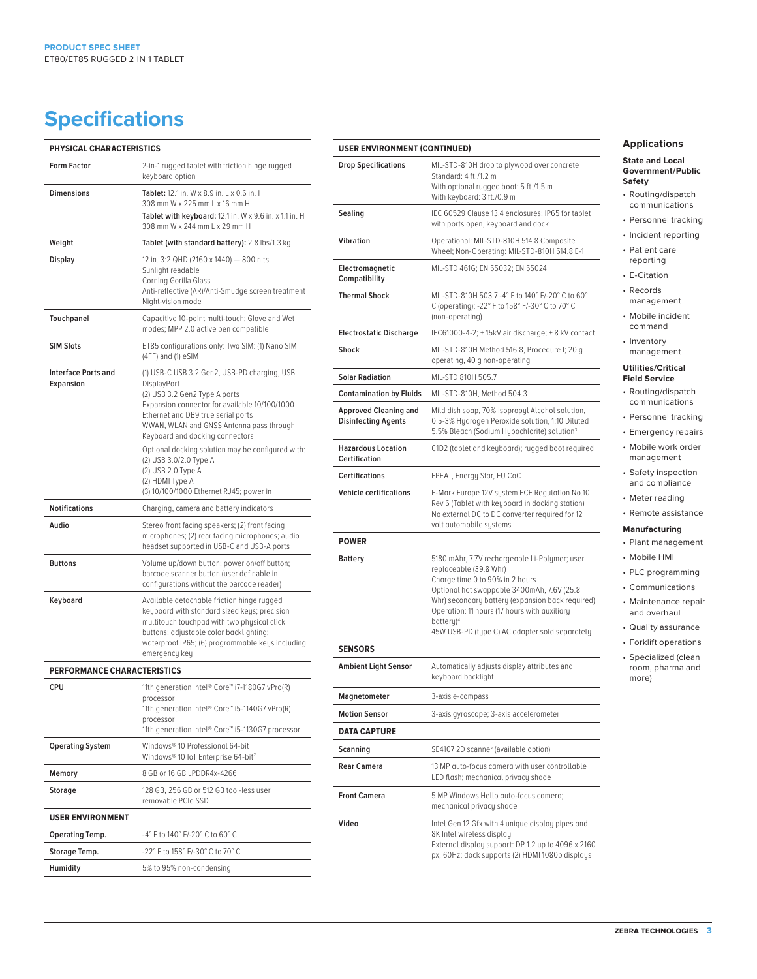## **Specifications**

| PHYSICAL CHARACTERISTICS                |                                                                                                                                                                                                                                                                                                                                                                                                                                       |  |
|-----------------------------------------|---------------------------------------------------------------------------------------------------------------------------------------------------------------------------------------------------------------------------------------------------------------------------------------------------------------------------------------------------------------------------------------------------------------------------------------|--|
| <b>Form Factor</b>                      | 2-in-1 rugged tablet with friction hinge rugged<br>keyboard option                                                                                                                                                                                                                                                                                                                                                                    |  |
| <b>Dimensions</b>                       | Tablet: 12.1 in. W x 8.9 in. L x 0.6 in. H<br>308 mm W x 225 mm L x 16 mm H                                                                                                                                                                                                                                                                                                                                                           |  |
|                                         | Tablet with keyboard: 12.1 in. W x 9.6 in. x 1.1 in. H<br>308 mm W x 244 mm L x 29 mm H                                                                                                                                                                                                                                                                                                                                               |  |
| Weight                                  | Tablet (with standard battery): 2.8 lbs/1.3 kg                                                                                                                                                                                                                                                                                                                                                                                        |  |
| <b>Display</b>                          | 12 in. 3:2 QHD (2160 x 1440) - 800 nits<br>Sunlight readable<br>Corning Gorilla Glass<br>Anti-reflective (AR)/Anti-Smudge screen treatment<br>Night-vision mode                                                                                                                                                                                                                                                                       |  |
| Touchpanel                              | Capacitive 10-point multi-touch; Glove and Wet<br>modes; MPP 2.0 active pen compatible                                                                                                                                                                                                                                                                                                                                                |  |
| <b>SIM Slots</b>                        | ET85 configurations only: Two SIM: (1) Nano SIM<br>(4FF) and (1) eSIM                                                                                                                                                                                                                                                                                                                                                                 |  |
| <b>Interface Ports and</b><br>Expansion | (1) USB-C USB 3.2 Gen2, USB-PD charging, USB<br>DisplayPort<br>(2) USB 3.2 Gen2 Type A ports<br>Expansion connector for available 10/100/1000<br>Ethernet and DB9 true serial ports<br>WWAN, WLAN and GNSS Antenna pass through<br>Keyboard and docking connectors<br>Optional docking solution may be configured with:<br>(2) USB 3.0/2.0 Type A<br>(2) USB 2.0 Type A<br>(2) HDMI Type A<br>(3) 10/100/1000 Ethernet RJ45; power in |  |
| <b>Notifications</b>                    | Charging, camera and battery indicators                                                                                                                                                                                                                                                                                                                                                                                               |  |
| Audio                                   | Stereo front facing speakers; (2) front facing<br>microphones; (2) rear facing microphones; audio<br>headset supported in USB-C and USB-A ports                                                                                                                                                                                                                                                                                       |  |
| <b>Buttons</b>                          | Volume up/down button; power on/off button;<br>barcode scanner button (user definable in<br>configurations without the barcode reader)                                                                                                                                                                                                                                                                                                |  |
| Keyboard                                | Available detachable friction hinge rugged<br>keyboard with standard sized keys; precision<br>multitouch touchpad with two physical click<br>buttons; adjustable color backlighting;<br>waterproof IP65; (6) programmable keys including<br>emergency key                                                                                                                                                                             |  |
| <b>PERFORMANCE CHARACTERISTICS</b>      |                                                                                                                                                                                                                                                                                                                                                                                                                                       |  |
| CPU                                     | 11th generation Intel® Core™ i7-1180G7 vPro(R)<br>processor<br>11th generation Intel® Core™ i5-1140G7 vPro(R)<br>processor<br>11th generation Intel® Core™ i5-1130G7 processor                                                                                                                                                                                                                                                        |  |
| <b>Operating System</b>                 | Windows® 10 Professional 64-bit<br>Windows® 10 IoT Enterprise 64-bit <sup>2</sup>                                                                                                                                                                                                                                                                                                                                                     |  |
| Memory                                  | 8 GB or 16 GB LPDDR4x-4266                                                                                                                                                                                                                                                                                                                                                                                                            |  |
| <b>Storage</b>                          | 128 GB, 256 GB or 512 GB tool-less user<br>removable PCIe SSD                                                                                                                                                                                                                                                                                                                                                                         |  |
| <b>USER ENVIRONMENT</b>                 |                                                                                                                                                                                                                                                                                                                                                                                                                                       |  |
| <b>Operating Temp.</b>                  | -4° F to 140° F/-20° C to 60° C                                                                                                                                                                                                                                                                                                                                                                                                       |  |
| Storage Temp.                           | -22° F to 158° F/-30° C to 70° C                                                                                                                                                                                                                                                                                                                                                                                                      |  |
| Humidity                                | 5% to 95% non-condensing                                                                                                                                                                                                                                                                                                                                                                                                              |  |

| <b>USER ENVIRONMENT (CONTINUED)</b>                        |                                                                                                                                                                                                                                                                                                                                         |  |
|------------------------------------------------------------|-----------------------------------------------------------------------------------------------------------------------------------------------------------------------------------------------------------------------------------------------------------------------------------------------------------------------------------------|--|
|                                                            |                                                                                                                                                                                                                                                                                                                                         |  |
| Sealing                                                    | IEC 60529 Clause 13.4 enclosures; IP65 for tablet<br>with ports open, keyboard and dock                                                                                                                                                                                                                                                 |  |
| <b>Vibration</b>                                           | Operational: MIL-STD-810H 514.8 Composite<br>Wheel; Non-Operating: MIL-STD-810H 514.8 E-1                                                                                                                                                                                                                                               |  |
| Electromagnetic<br>Compatibility                           | MIL-STD 461G; EN 55032; EN 55024                                                                                                                                                                                                                                                                                                        |  |
| <b>Thermal Shock</b>                                       | MIL-STD-810H 503.7 -4° F to 140° F/-20° C to 60°<br>C (operating); -22° F to 158° F/-30° C to 70° C<br>(non-operating)                                                                                                                                                                                                                  |  |
| <b>Electrostatic Discharge</b>                             | IEC61000-4-2; ± 15kV air discharge; ± 8 kV contact                                                                                                                                                                                                                                                                                      |  |
| Shock                                                      | MIL-STD-810H Method 516.8, Procedure I; 20 g<br>operating, 40 g non-operating                                                                                                                                                                                                                                                           |  |
| <b>Solar Radiation</b>                                     | MIL-STD 810H 505.7                                                                                                                                                                                                                                                                                                                      |  |
| <b>Contamination by Fluids</b>                             | MIL-STD-810H, Method 504.3                                                                                                                                                                                                                                                                                                              |  |
| <b>Approved Cleaning and</b><br><b>Disinfecting Agents</b> | Mild dish soap, 70% Isopropyl Alcohol solution,<br>0.5-3% Hydrogen Peroxide solution, 1:10 Diluted<br>5.5% Bleach (Sodium Hypochlorite) solution <sup>3</sup>                                                                                                                                                                           |  |
| <b>Hazardous Location</b><br><b>Certification</b>          | C1D2 (tablet and keyboard); rugged boot required                                                                                                                                                                                                                                                                                        |  |
| <b>Certifications</b>                                      | EPEAT, Energy Star, EU CoC                                                                                                                                                                                                                                                                                                              |  |
| <b>Vehicle certifications</b>                              | E-Mark Europe 12V system ECE Regulation No.10<br>Rev 6 (Tablet with keyboard in docking station)<br>No external DC to DC converter required for 12<br>volt automobile systems                                                                                                                                                           |  |
| <b>POWER</b>                                               |                                                                                                                                                                                                                                                                                                                                         |  |
| <b>Battery</b>                                             | 5180 mAhr, 7.7V rechargeable Li-Polymer; user<br>replaceable (39.8 Whr)<br>Charge time 0 to 90% in 2 hours<br>Optional hot swappable 3400mAh, 7.6V (25.8<br>Whr) secondary battery (expansion back required)<br>Operation: 11 hours (17 hours with auxiliary<br>battery) <sup>4</sup><br>45W USB-PD (type C) AC adapter sold separately |  |
| <b>SENSORS</b>                                             |                                                                                                                                                                                                                                                                                                                                         |  |
| <b>Ambient Light Sensor</b>                                | Automatically adjusts display attributes and<br>keyboard backlight                                                                                                                                                                                                                                                                      |  |
| Magnetometer                                               | 3-axis e-compass                                                                                                                                                                                                                                                                                                                        |  |
| <b>Motion Sensor</b>                                       | 3-axis gyroscope; 3-axis accelerometer                                                                                                                                                                                                                                                                                                  |  |
| <b>DATA CAPTURE</b>                                        |                                                                                                                                                                                                                                                                                                                                         |  |
| Scanning                                                   | SE4107 2D scanner (available option)                                                                                                                                                                                                                                                                                                    |  |
| <b>Rear Camera</b>                                         | 13 MP auto-focus camera with user controllable<br>LED flash; mechanical privacy shade                                                                                                                                                                                                                                                   |  |
| <b>Front Camera</b>                                        | 5 MP Windows Hello auto-focus camera:<br>mechanical privacy shade                                                                                                                                                                                                                                                                       |  |
| Video                                                      | Intel Gen 12 Gfx with 4 unique display pipes and<br>8K Intel wireless display<br>External display support: DP 1.2 up to 4096 x 2160<br>px, 60Hz; dock supports (2) HDMI 1080p displays                                                                                                                                                  |  |
|                                                            |                                                                                                                                                                                                                                                                                                                                         |  |

#### **Applications**

#### **State and Local Government/Public Safety**

- Routing/dispatch communications
- Personnel tracking
- Incident reporting • Patient care
- reporting • E-Citation
- Records management
- Mobile incident
- command • Inventory
- management

#### **Utilities/Critical Field Service**

- Routing/dispatch communications
- Personnel tracking
- Emergency repairs
- Mobile work order management
- Safety inspection and compliance
- Meter reading
- Remote assistance

#### **Manufacturing**

- Plant management
- Mobile HMI • PLC programming
- Communications
- Maintenance repair and overhaul
- Quality assurance
- Forklift operations
- Specialized (clean room, pharma and more)